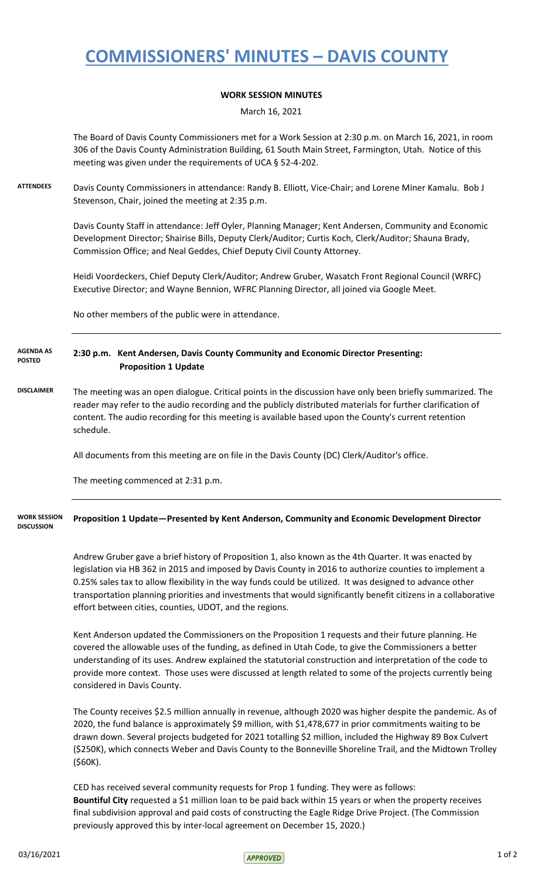# **COMMISSIONERS' MINUTES – DAVIS COUNTY**

### **WORK SESSION MINUTES**

March 16, 2021

The Board of Davis County Commissioners met for a Work Session at 2:30 p.m. on March 16, 2021, in room 306 of the Davis County Administration Building, 61 South Main Street, Farmington, Utah. Notice of this meeting was given under the requirements of UCA § 52-4-202.

**ATTENDEES** Davis County Commissioners in attendance: Randy B. Elliott, Vice-Chair; and Lorene Miner Kamalu. Bob J Stevenson, Chair, joined the meeting at 2:35 p.m.

> Davis County Staff in attendance: Jeff Oyler, Planning Manager; Kent Andersen, Community and Economic Development Director; Shairise Bills, Deputy Clerk/Auditor; Curtis Koch, Clerk/Auditor; Shauna Brady, Commission Office; and Neal Geddes, Chief Deputy Civil County Attorney.

Heidi Voordeckers, Chief Deputy Clerk/Auditor; Andrew Gruber, Wasatch Front Regional Council (WRFC) Executive Director; and Wayne Bennion, WFRC Planning Director, all joined via Google Meet.

No other members of the public were in attendance.

### **2:30 p.m. Kent Andersen, Davis County Community and Economic Director Presenting: Proposition 1 Update AGENDA AS POSTED**

**DISCLAIMER** The meeting was an open dialogue. Critical points in the discussion have only been briefly summarized. The reader may refer to the audio recording and the publicly distributed materials for further clarification of content. The audio recording for this meeting is available based upon the County's current retention schedule.

All documents from this meeting are on file in the Davis County (DC) Clerk/Auditor's office.

The meeting commenced at 2:31 p.m.

#### **Proposition 1 Update—Presented by Kent Anderson, Community and Economic Development Director WORK SESSION DISCUSSION**

Andrew Gruber gave a brief history of Proposition 1, also known as the 4th Quarter. It was enacted by legislation via HB 362 in 2015 and imposed by Davis County in 2016 to authorize counties to implement a 0.25% sales tax to allow flexibility in the way funds could be utilized. It was designed to advance other transportation planning priorities and investments that would significantly benefit citizens in a collaborative effort between cities, counties, UDOT, and the regions.

Kent Anderson updated the Commissioners on the Proposition 1 requests and their future planning. He covered the allowable uses of the funding, as defined in Utah Code, to give the Commissioners a better understanding of its uses. Andrew explained the statutorial construction and interpretation of the code to provide more context. Those uses were discussed at length related to some of the projects currently being considered in Davis County.

The County receives \$2.5 million annually in revenue, although 2020 was higher despite the pandemic. As of 2020, the fund balance is approximately \$9 million, with \$1,478,677 in prior commitments waiting to be drawn down. Several projects budgeted for 2021 totalling \$2 million, included the Highway 89 Box Culvert (\$250K), which connects Weber and Davis County to the Bonneville Shoreline Trail, and the Midtown Trolley (\$60K).

CED has received several community requests for Prop 1 funding. They were as follows: **Bountiful City** requested a \$1 million loan to be paid back within 15 years or when the property receives final subdivision approval and paid costs of constructing the Eagle Ridge Drive Project. (The Commission previously approved this by inter-local agreement on December 15, 2020.)